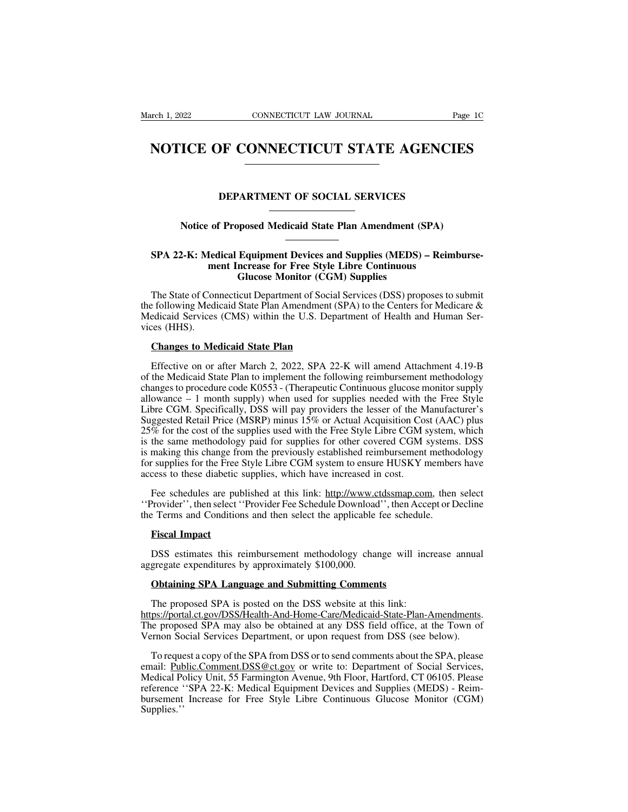## EXEMPLE 1, 2022 CONNECTICUT LAW JOURNAL Page 1C<br> **NOTICE OF CONNECTICUT STATE AGENCIES NOTICE OF CONNECTICUT STATE AGENCIES**<br>
DEPARTMENT OF SOCIAL SERVICES<br>
Notice of Proposed Medicaid State Plan Amendment (SPA)

# **NOTICE OF CONVECTICE I STATE AGENCIES**<br> **Notice of Proposed Medicaid State Plan Amendment (SPA)**

## **SPA 22-K: Medical Equipment Devices and Supplies (MEDS) – Reimburse-<br>
SPA 22-K: Medical Equipment Devices and Supplies (MEDS) – Reimburse-<br>
ment Increase for Free Style Libre Continuous<br>
Glucose Monitor (CGM) Supplies DEPARTMENT OF SOCIAL SERVICES**<br>
of Proposed Medicaid State Plan Amendment (SPA)<br>
Ledical Equipment Devices and Supplies (MEDS) – Rein<br>
ment Increase for Free Style Libre Continuous<br>
Glucose Monitor (CGM) Supplies posed Medicaid State Plan Amendment (Supplies Continuous<br> **Glucose Supplies**<br>
Glucose Monitor (CGM) Supplies<br>
Glucose Monitor (CGM) Supplies<br>
Supplies<br>
Continuous<br>
Continuous<br>
Continuous<br>
Continuous<br>
Continuous<br>
Continuous

Notice of Proposed Medicaid State Plan Amendment (SPA)<br>
SPA 22-K: Medical Equipment Devices and Supplies (MEDS) – Reimburse-<br>
ment Increase for Free Style Libre Continuous<br>
Glucose Monitor (CGM) Supplies<br>
The State of Conn SPA 22-K: Medical Equipment Devices and Supplies (MEDS) – Reimburse-<br>ment Increase for Free Style Libre Continuous<br>Glucose Monitor (CGM) Supplies<br>The State of Connecticut Department of Social Services (DSS) proposes to sub SPA 22-K: Medical Equipment Devices and Supplies (MEDS) – Reimburse-<br>ment Increase for Free Style Libre Continuous<br>Glucose Monitor (CGM) Supplies<br>The State of Connecticut Department of Social Services (DSS) proposes to sub SPA 22-K: Mechanic method<br>method in State of Contraction<br>Medicaid Services<br>vices (HHS).<br>Changes to Me **Glucose Monitor (CGM)**<br>The State of Connecticut Department of Social s<br>Exploring Medicaid State Plan Amendment (S.<br>Edicaid Services (CMS) within the U.S. Departies<br>Changes to Medicaid State Plan<br>Effective on or after Marc The State of Connecticut Department of Social Services (DSS) proposes to submit<br>
Effective of CMS (CMS) within the U.S. Department of Health and Human Ser-<br>
Effective on or after March 2, 2022, SPA 22-K will amend Attachme

the following Medicaid State Plan Amendment (SPA) to the Centers for Medicare &<br>Medicaid Services (CMS) within the U.S. Department of Health and Human Services (HHS).<br>Changes to Medicaid State Plan<br>Effective on or after M Medicaid Services (CMS) within the U.S. Department of Health and Human Services (HHS).<br> **Changes to Medicaid State Plan**<br>
Effective on or after March 2, 2022, SPA 22-K will amend Attachment 4.19-B<br>
of the Medicaid State Pl vices (HHS).<br> **Changes to Medicaid State Plan**<br>
Effective on or after March 2, 2022, SPA 22-K will amend Attachment 4.19-B<br>
of the Medicaid State Plan to implement the following reimbursement methodology<br>
changes to proced Changes to Medicaid State Plan<br>Effective on or after March 2, 2022, SPA 22-K will amend Attachment 4.19-B<br>of the Medicaid State Plan to implement the following reimbursement methodology<br>changes to procedure code K0553 - (T Lie Compares to Medical State Plan<br>Effective on or after March 2, 2022, SPA 22-K will amend Attachment 4.19-B<br>of the Medicaid State Plan to implement the following reimbursement methodology<br>changes to procedure code K0553 Effective on or after March 2, 2022, SPA 22-K will amend Attachment 4.19-B<br>of the Medicaid State Plan to implement the following reimbursement methodology<br>changes to procedure code K0553 - (Therapeutic Continuous glucose m Effective on of after Match 2, 2022, SFA 22-K will affect Attachment 4.19-B of the Medicaid State Plan to implement the following reimbursement methodology changes to procedure code K0553 - (Therapeutic Continuous glucose of the Medical state Fran to implement the fortowing refinious sellicate the modology changes to procedure code K0553 - (Therapeutic Continuous glucose monitor supply allowance – 1 month supply) when used for supplies need enanges to procedure code ROSSS - (Therapedic Committed guidese momino supply<br>allowance – 1 month supply) when used for supplies needed with the Free Style<br>Libre CGM. Specifically, DSS will pay providers the lesser of the and wance – 1 month supply) when used for supplies needed with Libre CGM. Specifically, DSS will pay providers the lesser of the M<br>Suggested Retail Price (MSRP) minus 15% or Actual Acquisition Co:<br>25% for the cost of the s ggested Ketail Price (MSKP) minus 15% or Actual Acquisition Cost (AAC) plus<br>% for the cost of the supplies used with the Free Style Libre CGM system, which<br>the same methodology paid for supplies for other covered CGM syste 25% for the cost of the supplies used with the Free Style Libre CGM system, which<br>is the same methodology paid for supplies for other covered CGM systems. DSS<br>is making this change from the previously established reimburse It is the same methodology paid for supplies for other covered CGM systems<br>is making this change from the previously established reimbursement method<br>for supplies for the Free Style Libre CGM system to ensure HUSKY member<br>

Free supplies for the Free<br>
Fee schedules are pul<br> **Figure Schedules are pully are select**<br> **Fiscal Impact**<br> **Fiscal Impact**<br> **PISS** estimates this response to the set of the set of the SCS Fee schedules are published at this link: http://www.ctdssmap.com, then select<br>Provider", then select "Provider Fee Schedule Download", then Accept or Decline<br>Perms and Conditions and then select the applicable fee schedul Fee schedules are published at this link: http://www.com/<br>
"Provider", then select "Provider Fee Schedule Download<br>
the Terms and Conditions and then select the applicable<br> **Fiscal Impact**<br>
DSS estimates this reimbursement

Example 2 Terms and Conditions and then select the applicable fee schedu<br> **Fiscal Impact**<br>
DSS estimates this reimbursement methodology change will in<br>
gregate expenditures by approximately \$100,000.<br> **Obtaining SPA Langua** 

**Fiscal Impact**<br>
DSS estimates this reimbursement methodology change will increase annual<br>
aggregate expenditures by approximately \$100,000.<br> **Obtaining SPA Language and Submitting Comments**<br>
The proposed SPA is posted on https://portal.ct.gov/DSS/Health-And-Home-Care/Medicaid-State-Plan-Amendments. DSS estimates this reimbursement methodology change will increase annual aggregate expenditures by approximately \$100,000.<br> **Obtaining SPA Language and Submitting Comments**<br>
The proposed SPA is posted on the DSS website at aggregate expenditures by approximately \$100,000.<br> **Obtaining SPA Language and Submitting Comments**<br>
The proposed SPA is posted on the DSS website at this link:<br>
https://portal.ct.gov/DSS/Health-And-Home-Care/Medicaid-Stat **Obtaining SPA Language and Submitting Comments**<br>The proposed SPA is posted on the DSS website at this link:<br>ps://portal.ct.gov/DSS/Health-And-Home-Care/Medicaid-State-Plan-Amendments.<br>le proposed SPA may also be obtained

The proposed SPA is posted on the DSS website at this link:<br>
https://portal.ct.gov/DSS/Health-And-Home-Care/Medicaid-State-Plan-Amendments.<br>
The proposed SPA may also be obtained at any DSS field office, at the Town of<br>
Ve Ine proposed SPA is posted on the DSS website at this link:<br>https://portal.ct.gov/DSS/Health-And-Home-Care/Medicaid-State-Plan-Amendments.<br>The proposed SPA may also be obtained at any DSS field office, at the Town of<br>Verno nttps://portal.ct.gov/DSS/Health-And-Home-Care/Medicald-State-Plan-Amendments.<br>The proposed SPA may also be obtained at any DSS field office, at the Town of<br>Vernon Social Services Department, or upon request from DSS (see The proposed SPA may also be obtained at any DSS field office, at the Town of<br>Vernon Social Services Department, or upon request from DSS (see below).<br>To request a copy of the SPA from DSS or to send comments about the SPA Supplies.''